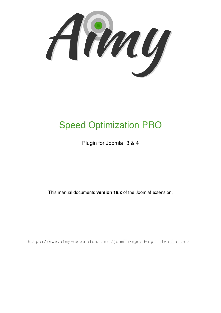Amy

# Speed Optimization PRO

Plugin for Joomla! 3 & 4

This manual documents **version 19.x** of the Joomla! extension.

<https://www.aimy-extensions.com/joomla/speed-optimization.html>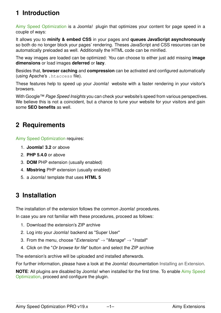# **1 Introduction**

Aimy Speed Optimization is a Joomla! plugin that optimizes your content for page speed in a couple of ways:

It allows you to **minify & embed CSS** in your pages and **queues JavaScript asynchronously** so both do no longer block your pages' rendering. Theses JavaScript and CSS resources can be automatically preloaded as well. Additionally the HTML code can be minified.

The way images are loaded can be optimized: You can choose to either just add missing **image dimensions** or load images **deferred** or **lazy**.

Besides that, **browser caching** and **compression** can be activated and configured automatically (using Apache's .htaccess file).

These features help to speed up your Joomla! website with a faster rendering in your visitor's browsers.

With Google™ *Page Speed Insights* you can check your website's speed from various perspectives. We believe this is not a coincident, but a chance to tune your website for your visitors and gain some **SEO benefits** as well.

## **2 Requirements**

Aimy Speed Optimization requires:

- 1. **Joomla! 3.2** or above
- 2. **PHP 5.4.0** or above
- 3. **DOM** PHP extension (usually enabled)
- 4. **Mbstring** PHP extension (usually enabled)
- 5. a Joomla! template that uses **HTML 5**

### **3 Installation**

The installation of the extension follows the common Joomla! procedures.

In case you are not familiar with these procedures, proceed as follows:

- 1. Download the extension's ZIP archive
- 2. Log into your Joomla! backend as "Super User"
- 3. From the menu, choose "*Extensions*" → "*Manage*" → "*Install*"
- 4. Click on the "*Or browse for file*" button and select the ZIP archive

The extension's archive will be uploaded and installed afterwards.

For further information, please have a look at the Joomla! documentation [Installing an Extension.](http://docs.joomla.org/Installing_an_extension)

**NOTE**: All plugins are disabled by Joomla! when installed for the first time. To enable Aimy Speed Optimization, proceed and configure the plugin.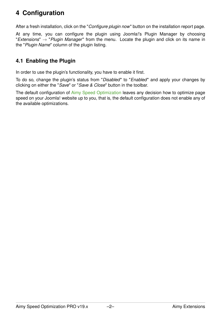# **4 Configuration**

After a fresh installation, click on the "*Configure plugin now*" button on the installation report page.

At any time, you can configure the plugin using Joomla!'s Plugin Manager by choosing "*Extensions*" → "*Plugin Manager*" from the menu. Locate the plugin and click on its name in the "*Plugin Name*" column of the plugin listing.

### **4.1 Enabling the Plugin**

In order to use the plugin's functionality, you have to enable it first.

To do so, change the plugin's status from "*Disabled*" to "*Enabled*" and apply your changes by clicking on either the "*Save*" or "*Save & Close*" button in the toolbar.

The default configuration of Aimy Speed Optimization leaves any decision how to optimize page speed on your Joomla! website up to you, that is, the default configuration does not enable any of the available optimizations.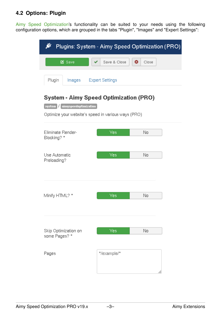### **4.2 Options: Plugin**

Aimy Speed Optimization's functionality can be suited to your needs using the following configuration options, which are grouped in the tabs "Plugin", "Images" and "Expert Settings":

| Plugins: System - Aimy Speed Optimization (PRO)                                                                               |                            |  |  |  |  |  |
|-------------------------------------------------------------------------------------------------------------------------------|----------------------------|--|--|--|--|--|
| <b>■</b> Save                                                                                                                 | ☺<br>Save & Close<br>Close |  |  |  |  |  |
| Plugin<br><b>Expert Settings</b><br>lmages                                                                                    |                            |  |  |  |  |  |
| System - Aimy Speed Optimization (PRO)<br>system aimyspeedoptimization<br>Optimize your website's speed in various ways (PRO) |                            |  |  |  |  |  |
| Eliminate Render-<br>Blocking? *                                                                                              | No<br>Yes                  |  |  |  |  |  |
| Use Automatic<br>Preloading?                                                                                                  | No<br>Yes                  |  |  |  |  |  |
| Minify HTML? *                                                                                                                | Yes<br>No                  |  |  |  |  |  |
| Skip Optimization on<br>some Pages? *                                                                                         | Yes<br>No                  |  |  |  |  |  |
| Pages                                                                                                                         | */example/*                |  |  |  |  |  |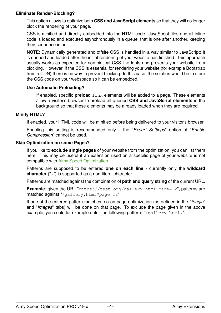#### **Eliminate Render-Blocking?**

This option allows to optimize both **CSS and JavaScript elements** so that they will no longer block the rendering of your page.

CSS is minified and directly embedded into the HTML code. JavaScript files and all inline code is loaded and executed asynchronously in a queue, that is one after another, keeping their sequence intact.

**NOTE**: Dynamically generated and offsite CSS is handled in a way similar to JavaScript: it is queued and loaded after the initial rendering of your website has finished. This approach usually works as expected for non-ciritical CSS like fonts and prevents your website from blocking. However, if the CSS is essential for rendering your website (for example Bootstrap from a CDN) there is no way to prevent blocking. In this case, the solution would be to store the CSS code on your webspace so it can be embedded.

#### **Use Automatic Preloading?**

If enabled, specific **preload** link elements will be added to a page. These elements allow a visitor's browser to preload all queued **CSS and JavaScript elements** in the background so that these elements may be already loaded when they are required.

#### **Minify HTML?**

If enabled, your HTML code will be minified before being delivered to your visitor's browser.

Enabling this setting is recommended only if the "*Expert Settings*" option of "*Enable Compression*" cannot be used.

#### **Skip Optimization on some Pages?**

If you like to **exclude single pages** of your website from the optimization, you can list them here. This may be useful if an extension used on a specific page of your website is not compatible with Aimy Speed Optimization.

Patterns are supposed to be entered **one on each line** - currently only the **wildcard character** ("\*") is supported as a non-literal character.

Patterns are matched against the combination of **path and query string** of the current URL.

**Example**: given the URL "https://test.org/gallery.html?page=12", patterns are matched against "/gallery.html?page=12".

If one of the entered pattern matches, no on-page optimization (as defined in the "*Plugin*" and "*Images*" tabs) will be done on that page. To exclude the page given in the above example, you could for example enter the following pattern: "/gallery.html\*".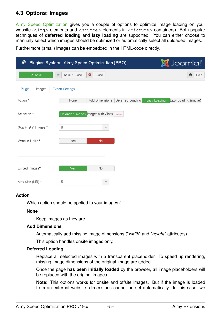### **4.3 Options: Images**

Aimy Speed Optimization gives you a couple of options to optimize image loading on your website  $\langle \text{time} \rangle$  elements and  $\langle \text{source} \rangle$  elements in  $\langle \text{picture} \rangle$  containers). Both popular techniques of **deferred loading** and **lazy loading** are supported. You can either choose to manually select which images should be optimized or automatically select all uploaded images.

Furthermore (small) images can be embedded in the HTML-code directly.

| է<br>Plugins: System - Aimy Speed Optimization (PRO) |                        |                                         |                  |              | <b>M</b> Joomla!"     |
|------------------------------------------------------|------------------------|-----------------------------------------|------------------|--------------|-----------------------|
| ■ Save                                               | Save & Close<br>✓      | Ø<br>Close                              |                  |              | €<br>Help             |
| Plugin<br>Images                                     | <b>Expert Settings</b> |                                         |                  |              |                       |
| Action *                                             | None                   | Add Dimensions                          | Deferred Loading | Lazy Loading | Lazy Loading (native) |
| Selection *                                          |                        | Uploaded Images Images with Class defer |                  |              |                       |
| Skip First # Images *                                | 0                      | $\overline{\phantom{a}}$                |                  |              |                       |
| Wrap in Link? *                                      | Yes                    | No                                      |                  |              |                       |
|                                                      |                        |                                         |                  |              |                       |
| Embed Images?                                        | <b>Yes</b>             | $\mathsf{No}$                           |                  |              |                       |
| Max Size (KiB) *                                     | 5                      | $\overline{\mathbf{v}}$                 |                  |              |                       |

#### **Action**

Which action should be applied to your images?

#### **None**

Keep images as they are.

#### **Add Dimensions**

Automatically add missing image dimensions ("*width*" and "*height*" attributes).

This option handles onsite images only.

#### **Deferred Loading**

Replace all selected images with a transparent placeholder. To speed up rendering, missing image dimensions of the original image are added.

Once the page **has been initially loaded** by the browser, all image placeholders will be replaced with the original images.

**Note**: This options works for onsite and offsite images. But if the image is loaded from an external website, dimensions cannot be set automatically. In this case, we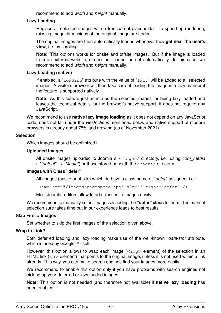recommend to add *width* and *height* manually.

#### **Lazy Loading**

Replace all selected images with a transparent placeholder. To speed up rendering, missing image dimensions of the original image are added.

The original images are then automatically loaded whenever they **get near the user's view**, i.e. by scrolling.

**Note**: This options works for onsite and offsite images. But if the image is loaded from an external website, dimensions cannot be set automatically. In this case, we recommend to add *width* and *height* manually.

#### **Lazy Loading (native)**

If enabled, a "loading" attribute with the value of "lazy" will be added to all selected images. A visitor's browser will then take care of loading the image in a lazy manner if the feature is supported natively.

**Note**: As this feature just annotates the selected images for being lazy loaded and leaves the technical details for the browser's native support, it does not require any JavaScript.

We recommend to use **native lazy image loading** as it does not depend on any JavaScript code, does not fall under the *Restrictions* mentioned below and native support of modern browsers is already about 75% and growing (as of November 2021).

#### **Selection**

Which images should be optimized?

#### **Uploaded Images**

All onsite images uploaded to Joomla!'s /images/ directory, i.e. using *com media* ("*Content*" → "*Media*") or those stored beneath the /cache/ directory.

#### **Images with Class "defer"**

All images (onsite or offsite) which do have a class name of "*defer*" assigned, i.e.:

<img src="/images/pagespeed.jpg" alt="" class="defer" />

Most Joomla! editors allow to add classes to images easily.

We recommend to manually select images by adding the **"defer" class** to them. The manual selection sure takes time but in our experience leads to best results.

#### **Skip First # Images**

Set whether to skip the first images of the selection given above.

#### **Wrap in Link?**

Both deferred loading and lazy loading make use of the well-known "*data-src*" attribute, which is used by Google™ itself.

However, this option allows to wrap each image  $\langle\sin\varphi\rangle$  element) of the selection in an HTML link ( $\langle a \rangle$  element) that points to the original image, unless it is not used within a link already. This way, you can make search engines find your images more easily.

We recommend to enable this option only if you have problems with search engines not picking up your deferred or lazy loaded images.

**Note**: This option is not needed (and therefore not available) if **native lazy loading** has been enabled.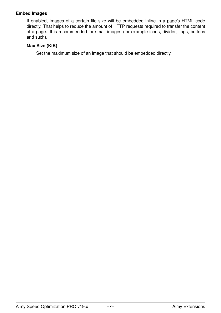#### **Embed Images**

If enabled, images of a certain file size will be embedded inline in a page's HTML code directly. That helps to reduce the amount of HTTP requests required to transfer the content of a page. It is recommended for small images (for example icons, divider, flags, buttons and such).

#### **Max Size (KiB)**

Set the maximum size of an image that should be embedded directly.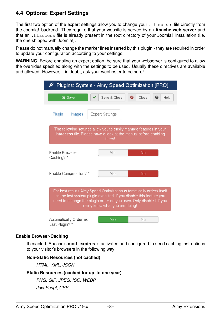### **4.4 Options: Expert Settings**

The first two option of the expert settings allow you to change your .htaccess file directly from the Joomla! backend. They require that your website is served by an **Apache web server** and that an .htaccess file is already present in the root directory of your Joomla! installation (i.e. the one shipped with Joomla!).

Please do not manually change the marker lines inserted by this plugin - they are required in order to update your configuration according to your settings.

**WARNING**: Before enabling an expert option, be sure that your webserver is configured to allow the overrides specified along with the settings to be used. Usually these directives are available and allowed. However, if in doubt, ask your webhoster to be sure!

|                                                                                                                                                                                                                                                       | Plugins: System - Aimy Speed Optimization (PRO) |                         |  |  |  |  |
|-------------------------------------------------------------------------------------------------------------------------------------------------------------------------------------------------------------------------------------------------------|-------------------------------------------------|-------------------------|--|--|--|--|
| 区 Save                                                                                                                                                                                                                                                | Save & Close                                    | ☎<br>Close<br>€<br>Help |  |  |  |  |
| Plugin<br>Images                                                                                                                                                                                                                                      | <b>Expert Settings</b>                          |                         |  |  |  |  |
| The following settings allow you to easily manage features in your<br>.htaccess file. Please have a look at the manual before enabling<br>them!                                                                                                       |                                                 |                         |  |  |  |  |
| Fnable Browser-<br>Caching? *                                                                                                                                                                                                                         | Yes                                             | No                      |  |  |  |  |
| Enable Compression? *                                                                                                                                                                                                                                 | Yes                                             | No                      |  |  |  |  |
| For best results Aimy Speed Optimization automatically orders itself<br>as the last system plugin executed. If you disable this feature you<br>need to manage the plugin order on your own. Only disable it if you<br>really know what you are doing! |                                                 |                         |  |  |  |  |
| Automatically Order as<br>Last Plugin? *                                                                                                                                                                                                              | Yes                                             | No                      |  |  |  |  |

#### **Enable Browser-Caching**

If enabled, Apache's **mod\_expires** is activated and configured to send caching instructions to your visitor's browsers in the following way:

#### **Non-Static Resources (not cached)**

*HTML*, *XML*, *JSON*

#### **Static Resources (cached for up to one year)**

*PNG*, *GIF*, *JPEG*, *ICO*, *WEBP JavaScript*, *CSS*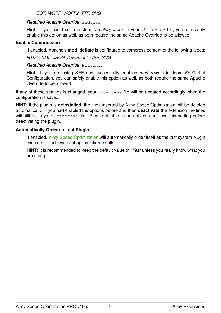*EOT*, *WOFF*, *WOFF2*, *TTF*, *SVG*

#### *Required Apache Override*: Indexes

**Hint:** If you could set a custom *Directory Index* in your .htaccess file, you can safely enable this option as well, as both require the same Apache Override to be allowed.

#### **Enable Compression**

If enabled, Apache's **mod\_deflate** is configured to compress content of the following types:

*HTML*, *XML*, *JSON*, *JavaScript*, *CSS*, *SVG*

*Required Apache Override*: FileInfo

**Hint:** If you are using SEF and successfully enabled *mod\_rewrite* in Joomla!'s Global Configuration, you can safely enable this option as well, as both require the same Apache Override to be allowed.

If any of these settings is changed, your .htaccess file will be updated accordingly when the configuration is saved.

**HINT**: If the plugin is **deinstalled**, the lines inserted by Aimy Speed Optimization will be deleted automatically. If you had enabled the options before and then **deactivate** the extension the lines will still be in your . htaccess file. Please disable these options and save this setting before deactivating the plugin.

#### **Automatically Order as Last Plugin**

If enabled, Aimy Speed Optimization will automatically order itself as the last system plugin executed to achieve best optimization results.

**HINT**: It is recommended to keep the default value of "*Yes*" unless you really know what you are doing.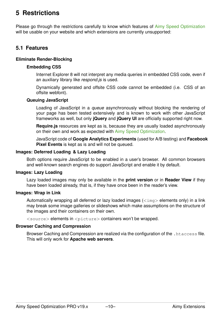# **5 Restrictions**

Please go through the restrictions carefully to know which features of Aimy Speed Optimization will be usable on your website and which extensions are currently unsupported:

#### **5.1 Features**

#### **Eliminate Render-Blocking**

#### **Embedding CSS**

Internet Explorer 8 will not interpret any media queries in embedded CSS code, even if an auxiliary library like *respond.js* is used.

Dynamically generated and offsite CSS code cannot be embedded (i.e. CSS of an offsite webfont).

#### **Queuing JavaScript**

Loading of JavaScript in a *queue* asynchronously without blocking the rendering of your page has been tested extensively and is known to work with other JavaScript frameworks as well, but only **jQuery** and **jQuery UI** are officially supported right now.

**Require.js** resources are kept as is, because they are usually loaded asynchronously on their own and work as expected with Aimy Speed Optimization.

JavaScript code of **Google Analytics Experiments** (used for A/B testing) and **Facebook Pixel Events** is kept as is and will not be queued.

#### **Images: Deferred Loading & Lazy Loading**

Both options require JavaScript to be enabled in a user's browser. All common browsers and well-known search engines do support JavaScript and enable it by default.

#### **Images: Lazy Loading**

Lazy loaded images may only be available in the **print version** or in **Reader View** if they have been loaded already, that is, if they have once been in the reader's view.

#### **Images: Wrap in Link**

Automatically wrapping all deferred or lazy loaded images  $\langle \text{time} \rangle$  elements only) in a link may break some image galleries or slideshows which make assumptions on the structure of the images and their containers on their own.

 $\langle$ source $\rangle$  elements in  $\langle$ picture $\rangle$  containers won't be wrapped.

#### **Browser Caching and Compression**

Browser Caching and Compression are realized via the configuration of the . htaccess file. This will only work for **Apache web servers**.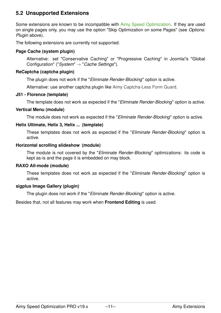### **5.2 Unsupported Extensions**

Some extensions are known to be incompatible with Aimy Speed Optimization. If they are used on single pages only, you may use the option "Skip Optimization on some Pages" (see *Options: Plugin* above).

The following extensions are currently not supported:

#### **Page Cache (system plugin)**

Alternative: set "Conservative Caching" or "Progressive Caching" in Joomla!'s "Global Configuration" ("*System*" → "*Cache Settings*").

#### **ReCaptcha (captcha plugin)**

The plugin does not work if the "*Eliminate Render-Blocking*" option is active.

Alternative: use another captcha plugin like [Aimy Captcha-Less Form Guard.](https://www.aimy-extensions.com/joomla/captcha-less-form-guard.html)

#### **J51 - Florence (template)**

The template does not work as expected if the "*Eliminate Render-Blocking*" option is active.

#### **Vertical Menu (module)**

The module does not work as expected if the "*Eliminate Render-Blocking*" option is active.

#### **Helix Ultimate, Helix 3, Helix ... (template)**

These templates does not work as expected if the "*Eliminate Render-Blocking*" option is active.

#### **Horizontal scrolling slideshow (module)**

The module is not covered by the "*Eliminate Render-Blocking*" optimizations: its code is kept as-is and the page it is embedded on may block.

#### **RAXO All-mode (module)**

These templates does not work as expected if the "*Eliminate Render-Blocking*" option is active.

#### **sigplus Image Gallery (plugin)**

The plugin does not work if the "*Eliminate Render-Blocking*" option is active.

Besides that, not all features may work when **Frontend Editing** is used.